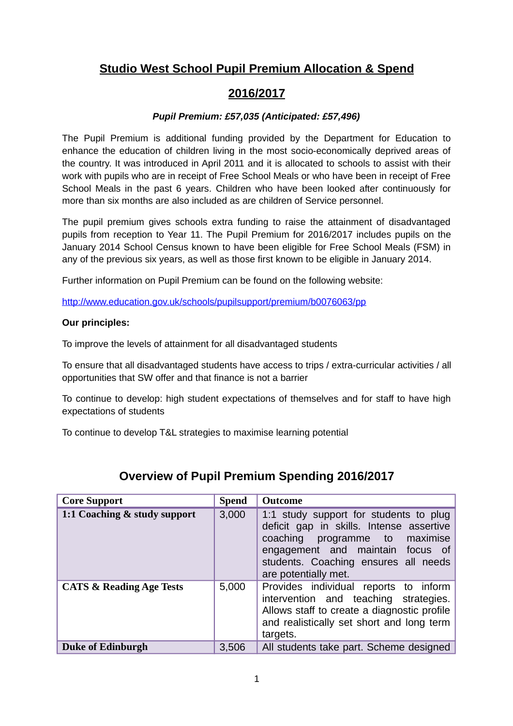## **Studio West School Pupil Premium Allocation & Spend**

## **2016/2017**

#### *Pupil Premium: £57,035 (Anticipated: £57,496)*

The Pupil Premium is additional funding provided by the Department for Education to enhance the education of children living in the most socio-economically deprived areas of the country. It was introduced in April 2011 and it is allocated to schools to assist with their work with pupils who are in receipt of Free School Meals or who have been in receipt of Free School Meals in the past 6 years. Children who have been looked after continuously for more than six months are also included as are children of Service personnel.

The pupil premium gives schools extra funding to raise the attainment of disadvantaged pupils from reception to Year 11. The Pupil Premium for 2016/2017 includes pupils on the January 2014 School Census known to have been eligible for Free School Meals (FSM) in any of the previous six years, as well as those first known to be eligible in January 2014.

Further information on Pupil Premium can be found on the following website:

<http://www.education.gov.uk/schools/pupilsupport/premium/b0076063/pp>

#### **Our principles:**

To improve the levels of attainment for all disadvantaged students

To ensure that all disadvantaged students have access to trips / extra-curricular activities / all opportunities that SW offer and that finance is not a barrier

To continue to develop: high student expectations of themselves and for staff to have high expectations of students

To continue to develop T&L strategies to maximise learning potential

| <b>Core Support</b>                 | <b>Spend</b> | <b>Outcome</b>                                                                                                                                                                                                              |  |  |
|-------------------------------------|--------------|-----------------------------------------------------------------------------------------------------------------------------------------------------------------------------------------------------------------------------|--|--|
| 1:1 Coaching & study support        | 3,000        | 1:1 study support for students to plug<br>deficit gap in skills. Intense assertive<br>coaching<br>programme to maximise<br>engagement and maintain focus of<br>students. Coaching ensures all needs<br>are potentially met. |  |  |
| <b>CATS &amp; Reading Age Tests</b> | 5,000        | Provides individual reports to inform<br>intervention and teaching strategies.<br>Allows staff to create a diagnostic profile<br>and realistically set short and long term<br>targets.                                      |  |  |
| <b>Duke of Edinburgh</b>            | 3,506        | All students take part. Scheme designed                                                                                                                                                                                     |  |  |

## **Overview of Pupil Premium Spending 2016/2017**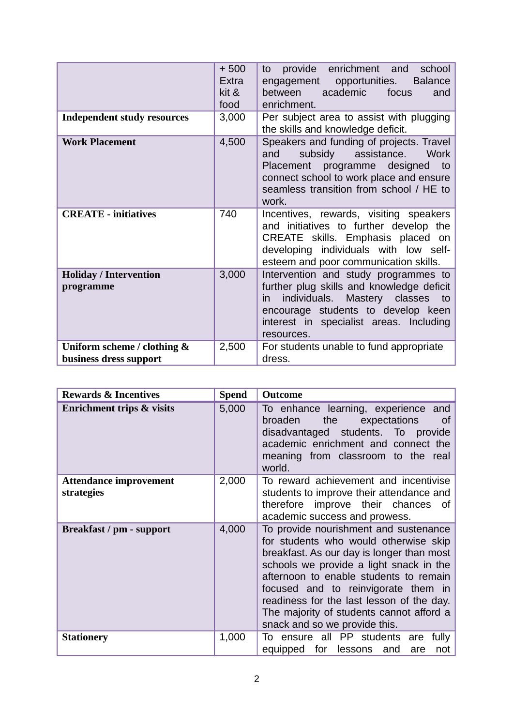|                                                       | $+500$<br>Extra<br>kit &<br>food | provide<br>enrichment<br>school<br>and<br>to<br>engagement opportunities.<br><b>Balance</b><br>academic<br>between<br>focus<br>and<br>enrichment.                                                                             |  |  |  |
|-------------------------------------------------------|----------------------------------|-------------------------------------------------------------------------------------------------------------------------------------------------------------------------------------------------------------------------------|--|--|--|
| <b>Independent study resources</b>                    | 3,000                            | Per subject area to assist with plugging<br>the skills and knowledge deficit.                                                                                                                                                 |  |  |  |
| <b>Work Placement</b>                                 | 4,500                            | Speakers and funding of projects. Travel<br>subsidy assistance.<br>Work<br>and<br>Placement programme designed to<br>connect school to work place and ensure<br>seamless transition from school / HE to<br>work.              |  |  |  |
| <b>CREATE - initiatives</b>                           | 740                              | Incentives, rewards, visiting speakers<br>and initiatives to further develop the<br>CREATE skills. Emphasis placed on<br>developing individuals with low self-<br>esteem and poor communication skills.                       |  |  |  |
| <b>Holiday / Intervention</b><br>programme            | 3,000                            | Intervention and study programmes to<br>further plug skills and knowledge deficit<br>individuals. Mastery classes<br>to<br>in.<br>encourage students to develop keen<br>interest in specialist areas. Including<br>resources. |  |  |  |
| Uniform scheme / clothing &<br>business dress support | 2,500                            | For students unable to fund appropriate<br>dress.                                                                                                                                                                             |  |  |  |

| <b>Rewards &amp; Incentives</b>             | <b>Spend</b> | <b>Outcome</b>                                                                                                                                                                                                                                                                                                                                                                    |  |  |  |
|---------------------------------------------|--------------|-----------------------------------------------------------------------------------------------------------------------------------------------------------------------------------------------------------------------------------------------------------------------------------------------------------------------------------------------------------------------------------|--|--|--|
| <b>Enrichment trips &amp; visits</b>        | 5,000        | To enhance learning, experience<br>and<br>broaden<br>the<br>expectations<br>0f<br>disadvantaged students. To<br>provide<br>academic enrichment and connect the<br>meaning from classroom to the real<br>world.                                                                                                                                                                    |  |  |  |
| <b>Attendance improvement</b><br>strategies | 2,000        | To reward achievement and incentivise<br>students to improve their attendance and<br>therefore improve their chances<br>0f.<br>academic success and prowess.                                                                                                                                                                                                                      |  |  |  |
| Breakfast / pm - support                    | 4,000        | To provide nourishment and sustenance<br>for students who would otherwise skip<br>breakfast. As our day is longer than most<br>schools we provide a light snack in the<br>afternoon to enable students to remain<br>focused and to reinvigorate them in<br>readiness for the last lesson of the day.<br>The majority of students cannot afford a<br>snack and so we provide this. |  |  |  |
| <b>Stationery</b>                           | 1,000        | To ensure all PP students<br>fully<br>are<br>for<br>lessons and<br>equipped<br>are<br>not                                                                                                                                                                                                                                                                                         |  |  |  |